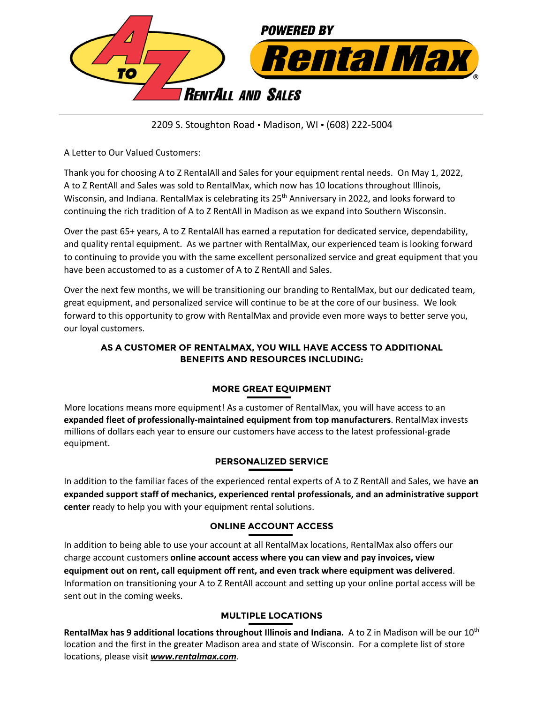

2209 S. Stoughton Road **·** Madison, WI **·** (608) 222-5004

A Letter to Our Valued Customers:

Thank you for choosing A to Z RentalAll and Sales for your equipment rental needs. On May 1, 2022, A to Z RentAll and Sales was sold to RentalMax, which now has 10 locations throughout Illinois, Wisconsin, and Indiana. RentalMax is celebrating its 25<sup>th</sup> Anniversary in 2022, and looks forward to continuing the rich tradition of A to Z RentAll in Madison as we expand into Southern Wisconsin.

Over the past 65+ years, A to Z RentalAll has earned a reputation for dedicated service, dependability, and quality rental equipment. As we partner with RentalMax, our experienced team is looking forward to continuing to provide you with the same excellent personalized service and great equipment that you have been accustomed to as a customer of A to Z RentAll and Sales.

Over the next few months, we will be transitioning our branding to RentalMax, but our dedicated team, great equipment, and personalized service will continue to be at the core of our business. We look forward to this opportunity to grow with RentalMax and provide even more ways to better serve you, our loyal customers.

### **AS A CUSTOMER OF RENTALMAX, YOU WILL HAVE ACCESS TO ADDITIONAL BENEFITS AND RESOURCES INCLUDING:**

# **MORE GREAT EQUIPMENT**

More locations means more equipment! As a customer of RentalMax, you will have access to an **expanded fleet of professionally-maintained equipment from top manufacturers**. RentalMax invests millions of dollars each year to ensure our customers have access to the latest professional-grade equipment.

# **PERSONALIZED SERVICE**

In addition to the familiar faces of the experienced rental experts of A to Z RentAll and Sales, we have **an expanded support staff of mechanics, experienced rental professionals, and an administrative support center** ready to help you with your equipment rental solutions.

# **ONLINE ACCOUNT ACCESS**

In addition to being able to use your account at all RentalMax locations, RentalMax also offers our charge account customers **online account access where you can view and pay invoices, view equipment out on rent, call equipment off rent, and even track where equipment was delivered**. Information on transitioning your A to Z RentAll account and setting up your online portal access will be sent out in the coming weeks.

# **MULTIPLE LOCATIONS**

**RentalMax has 9 additional locations throughout Illinois and Indiana.** A to Z in Madison will be our 10th location and the first in the greater Madison area and state of Wisconsin. For a complete list of store locations, please visit *www.rentalmax.com*.